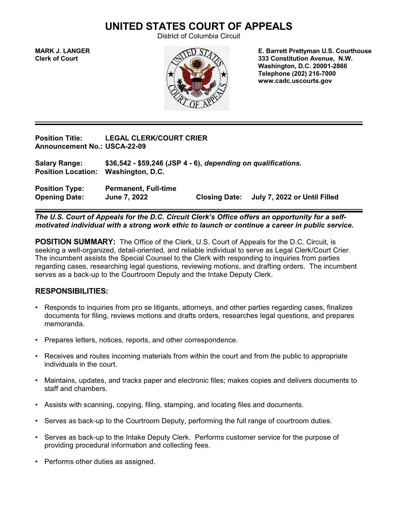## **UNITED STATES COURT OF APPEALS**

District of Columbia Circuit



**MARK J. LANGER E. Barrett Prettyman U.S. Courthouse Clerk of Court 333 Constitution Avenue, N.W. Washington, D.C. 20001-2866 Telephone (202) 216-7000 www.cadc.uscourts.gov**

**Position Title: LEGAL CLERK/COURT CRIER Announcement No.: USCA-22-09**

**Salary Range: \$36,542 - \$59,246 (JSP 4 - 6),** *depending on qualifications***. Position Location: Washington, D.C.**

**Position Type: Permanent, Full-time Opening Date: June 7, 2022 Closing Date: July 7, 2022 or Until Filled**

*The U.S. Court of Appeals for the D.C. Circuit Clerk's Office offers an opportunity for a selfmotivated individual with a strong work ethic to launch or continue a career in public service.*

**POSITION SUMMARY:** The Office of the Clerk, U.S. Court of Appeals for the D.C. Circuit, is seeking a well-organized, detail-oriented, and reliable individual to serve as Legal Clerk/Court Crier. The incumbent assists the Special Counsel to the Clerk with responding to inquiries from parties regarding cases, researching legal questions, reviewing motions, and drafting orders. The incumbent serves as a back-up to the Courtroom Deputy and the Intake Deputy Clerk.

## **RESPONSIBILITIES:**

- Responds to inquiries from pro se litigants, attorneys, and other parties regarding cases, finalizes documents for filing, reviews motions and drafts orders, researches legal questions, and prepares memoranda.
- Prepares letters, notices, reports, and other correspondence.
- Receives and routes incoming materials from within the court and from the public to appropriate individuals in the court.
- Maintains, updates, and tracks paper and electronic files; makes copies and delivers documents to staff and chambers.
- Assists with scanning, copying, filing, stamping, and locating files and documents.
- Serves as back-up to the Courtroom Deputy, performing the full range of courtroom duties.
- Serves as back-up to the Intake Deputy Clerk. Performs customer service for the purpose of providing procedural information and collecting fees.
- Performs other duties as assigned.